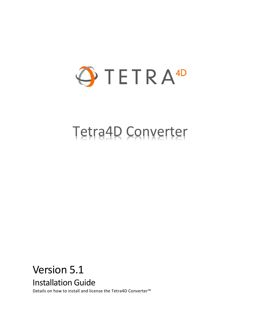

# Tetra4D Converter

# Version 5.1 Installation Guide

Details on how to install and license the Tetra4D Converter™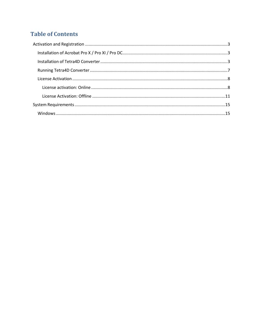# **Table of Contents**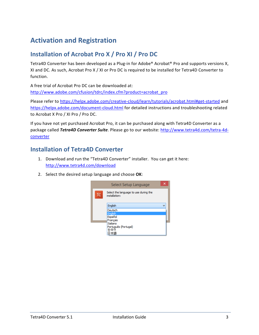# <span id="page-2-0"></span>**Activation and Registration**

## <span id="page-2-1"></span>**Installation of Acrobat Pro X / Pro XI / Pro DC**

Tetra4D Converter has been developed as a Plug-in for Adobe® Acrobat® Pro and supports versions X, XI and DC. As such, Acrobat Pro X / XI or Pro DC is required to be installed for Tetra4D Converter to function.

A free trial of Acrobat Pro DC can be downloaded at: [http://www.adobe.com/cfusion/tdrc/index.cfm?product=acrobat\\_pro](http://www.adobe.com/cfusion/tdrc/index.cfm?product=acrobat_pro)

Please refer to<https://helpx.adobe.com/creative-cloud/learn/tutorials/acrobat.html#get-started> and <https://helpx.adobe.com/document-cloud.html> for detailed instructions and troubleshooting related to Acrobat X Pro / XI Pro / Pro DC.

If you have not yet purchased Acrobat Pro, it can be purchased along with Tetra4D Converter as a package called *Tetra4D Converter Suite*. Please go to our website: [http://www.tetra4d.com/tetra-4d](http://www.tetra4d.com/tetra-4d-converter)[converter](http://www.tetra4d.com/tetra-4d-converter)

#### <span id="page-2-2"></span>**Installation of Tetra4D Converter**

- 1. Download and run the "Tetra4D Converter" installer. You can get it here: <http://www.tetra4d.com/download>
- 2. Select the desired setup language and choose **OK**:

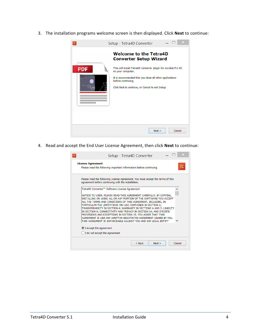3. The installation programs welcome screen is then displayed. Click **Next** to continue:



4. Read and accept the End User License Agreement, then click **Next** to continue:

| Setup - Tetra4D Converter<br>TC                                                                                                                                                                                                                                                                                                                                                                                                                                                                                                                                                                                              |        |
|------------------------------------------------------------------------------------------------------------------------------------------------------------------------------------------------------------------------------------------------------------------------------------------------------------------------------------------------------------------------------------------------------------------------------------------------------------------------------------------------------------------------------------------------------------------------------------------------------------------------------|--------|
| <b>License Agreement</b><br>Please read the following important information before continuing.                                                                                                                                                                                                                                                                                                                                                                                                                                                                                                                               | Tc     |
| Please read the following License Agreement. You must accept the terms of this<br>agreement before continuing with the installation.                                                                                                                                                                                                                                                                                                                                                                                                                                                                                         |        |
| Tetra4D Converter™ Software License Agreement                                                                                                                                                                                                                                                                                                                                                                                                                                                                                                                                                                                |        |
| NOTICE TO USER: PLEASE READ THIS AGREEMENT CAREFULLY. BY COPYING,<br>INSTALLING OR USING ALL OR ANY PORTION OF THE SOFTWARE YOU ACCEPT.<br>ALL THE TERMS AND CONDITIONS OF THIS AGREEMENT, INCLUDING, IN<br>PARTICULAR THE LIMITATIONS ON: USE CONTAINED IN SECTION 2;<br>TRANSFERABILITY IN SECTION 4; WARRANTY IN SECTIONS 6 AND 7; LIABILITY<br>IN SECTION 8: CONNECTIVITY AND PRIVACY IN SECTION 14: AND SPECIFIC<br>PROVISIONS AND EXCEPTIONS IN SECTION 15, YOU AGREE THAT THIS<br>AGREEMENT IS LIKE ANY WRITTEN NEGOTIATED AGREEMENT SIGNED BY YOU.<br>THIS AGREEMENT IS ENFORCEABLE AGAINST YOU AND ANY LEGAL ENTITY |        |
| I accept the agreement                                                                                                                                                                                                                                                                                                                                                                                                                                                                                                                                                                                                       |        |
| I do not accept the agreement                                                                                                                                                                                                                                                                                                                                                                                                                                                                                                                                                                                                |        |
| $<$ Back<br>Next >                                                                                                                                                                                                                                                                                                                                                                                                                                                                                                                                                                                                           | Cancel |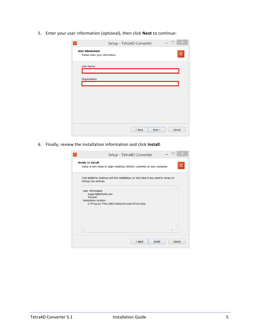5. Enter your user information (optional), then click **Next** to continue:

| $\times$<br>Setup - Tetra4D Converter<br>TC                     |  |
|-----------------------------------------------------------------|--|
| <b>User Information</b><br>TC<br>Please enter your information. |  |
| User Name:                                                      |  |
| Organization:                                                   |  |
|                                                                 |  |
|                                                                 |  |
|                                                                 |  |
|                                                                 |  |
| $<$ Back<br>Cancel<br>Next >                                    |  |

6. Finally, review the installation information and click **Install**:

| Setup - Tetra4D Converter                                                                                                              |        |
|----------------------------------------------------------------------------------------------------------------------------------------|--------|
| <b>Ready to Install</b><br>Setup is now ready to begin installing Tetra4D Converter on your computer.                                  | TC     |
| Click Install to continue with the installation, or click Back if you want to review or<br>change any settings.                        |        |
| User information:<br>support@tetra4d.com<br>Tetra4D<br><b>Destination location:</b><br>C:\Program Files (x86)\Adobe\Acrobat DC\Acrobat |        |
| $\lt$                                                                                                                                  |        |
| $<$ Back<br>Install                                                                                                                    | Cancel |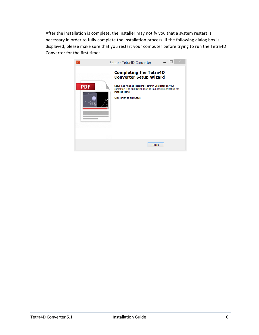After the installation is complete, the installer may notify you that a system restart is necessary in order to fully complete the installation process. If the following dialog box is displayed, please make sure that you restart your computer before trying to run the Tetra4D Converter for the first time:

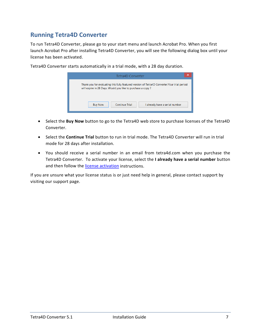## <span id="page-6-0"></span>**Running Tetra4D Converter**

To run Tetra4D Converter, please go to your start menu and launch Acrobat Pro. When you first launch Acrobat Pro after installing Tetra4D Converter, you will see the following dialog box until your license has been activated.

|                                                            | Tetra4D Converter     | ×                                                                                           |
|------------------------------------------------------------|-----------------------|---------------------------------------------------------------------------------------------|
| will expire in 28 Days. Would you like to purchase a copy? |                       | Thank you for evaluating this fully featured version of Tetra4D Converter.Your trial period |
| <b>Buy Now</b>                                             | <b>Continue Trial</b> | I already have a serial number                                                              |

Tetra4D Converter starts automatically in a trial mode, with a 28 day duration.

- Select the **Buy Now** button to go to the Tetra4D web store to purchase licenses of the Tetra4D Converter.
- Select the **Continue Trial** button to run in trial mode. The Tetra4D Converter will run in trial mode for 28 days after installation.
- You should receive a serial number in an email from tetra4d.com when you purchase the Tetra4D Converter. To activate your license, select the **I already have a serial number** button and then follow the *license activation* instructions.

If you are unsure what your license status is or just need help in general, please contact support by visiting our support page.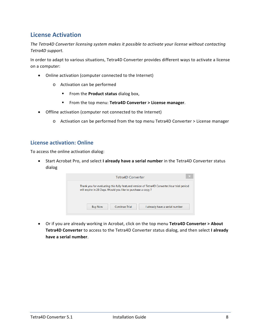#### <span id="page-7-0"></span>**License Activation**

*The Tetra4D Converter licensing system makes it possible to activate your license without contacting Tetra4D support.*

In order to adapt to various situations, Tetra4D Converter provides different ways to activate a license on a computer:

- Online activation (computer connected to the Internet)
	- o Activation can be performed
		- **FIGM** From the **Product status** dialog box,
		- From the top menu: **Tetra4D Converter > License manager**.
- Offline activation (computer not connected to the Internet)
	- o Activation can be performed from the top menu Tetra4D Converter > License manager

#### <span id="page-7-1"></span>**License activation: Online**

To access the online activation dialog:

• Start Acrobat Pro, and select **I already have a serial number** in the Tetra4D Converter status dialog

|                                                            | Tetra4D Converter     |                                                                                              | $\times$ |
|------------------------------------------------------------|-----------------------|----------------------------------------------------------------------------------------------|----------|
| will expire in 28 Days. Would you like to purchase a copy? |                       | Thank you for evaluating this fully featured version of Tetra4D Converter. Your trial period |          |
| <b>Buy Now</b>                                             | <b>Continue Trial</b> | I already have a serial number                                                               |          |

• Or if you are already working in Acrobat, click on the top menu **Tetra4D Converter > About Tetra4D Converter** to access to the Tetra4D Converter status dialog, and then select **I already have a serial number**.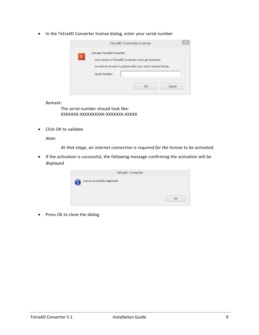• In the Tetra4D Converter license dialog, enter your serial number

|     | <b>Tetra4D Converter License</b>                                                                                                                                           |        |
|-----|----------------------------------------------------------------------------------------------------------------------------------------------------------------------------|--------|
| TC. | Activate Tetra4D Converter<br>Your version of Tetra4D Converter is not yet activated.<br>In order to activate it, please enter your serial number below.<br>Serial Number: |        |
|     | <b>OK</b>                                                                                                                                                                  | Cancel |

#### Remark:

The serial number should look like: XXXXXXX-XXXXXXXXXX-XXXXXXX-XXXXX

• Click OK to validate

*Note:*

*At that stage, an internet connection is required for the license to be activated.*

• If the activation is successful, the following message confirming the activation will be displayed

| <b>Tetra4D Converter</b>              |    |
|---------------------------------------|----|
| License successfully registered.<br>H |    |
|                                       | OK |

• Press Ok to close the dialog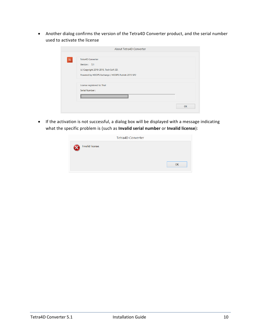• Another dialog confirms the version of the Tetra4D Converter product, and the serial number used to activate the license

| About Tetra4D Converter |                                                                                                                                          |    |
|-------------------------|------------------------------------------------------------------------------------------------------------------------------------------|----|
| $\mathsf{T}\mathsf{C}$  | <b>Tetra4D Converter</b><br>Version: 5.1<br>(c) Copyright 2010-2015, Tech Soft 3D.<br>Powered by HOOPS Exchange / HOOPS Publish 2015 SP2 |    |
|                         | License registered to: Trial<br>Serial Number:                                                                                           | OK |

• If the activation is not successful, a dialog box will be displayed with a message indicating what the specific problem is (such as **Invalid serial number** or **Invalid license**):

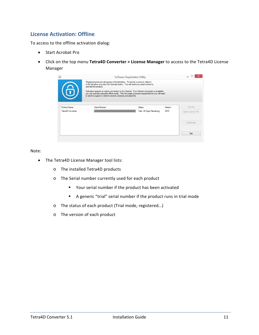#### <span id="page-10-0"></span>**License Activation: Offline**

To access to the offline activation dialog:

- Start Acrobat Pro
- Click on the top menu **Tetra4D Converter > License Manager** to access to the Tetra4D License Manager

|                     | Registered products will appear in the list below. To license a product, select it<br>in the list below and click the Activate button. You will need your serial number to<br>activate the product.<br>to send to support in order to receive a license activation file. | Activation requires an active connection to the Internet. If no Internet connection is available,<br>you can activate using the offline mode. This will create a license request file that you will need |         |                     |
|---------------------|--------------------------------------------------------------------------------------------------------------------------------------------------------------------------------------------------------------------------------------------------------------------------|----------------------------------------------------------------------------------------------------------------------------------------------------------------------------------------------------------|---------|---------------------|
| <b>Product Name</b> | Serial Number                                                                                                                                                                                                                                                            | <b>Status</b>                                                                                                                                                                                            | Version | Activate            |
| Tetra4D Converter   |                                                                                                                                                                                                                                                                          | Trial - 28 Days Remaining                                                                                                                                                                                | 2015    | Import License File |
|                     |                                                                                                                                                                                                                                                                          |                                                                                                                                                                                                          |         | <b>Deactivate</b>   |
|                     |                                                                                                                                                                                                                                                                          |                                                                                                                                                                                                          |         |                     |

Note:

- The Tetra4D License Manager tool lists:
	- o The installed Tetra4D products
	- o The Serial number currently used for each product
		- Your serial number if the product has been activated
		- A generic "trial" serial number if the product runs in trial mode
	- o The status of each product (Trial mode, registered…)
	- o The version of each product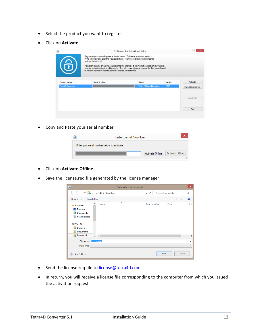- Select the product you want to register
- Click on **Activate**

|                          | Registered products will appear in the list below. To license a product, select it<br>in the list below and click the Activate button. You will need your serial number to<br>activate the product.<br>to send to support in order to receive a license activation file. | Activation requires an active connection to the Internet. If no Internet connection is available,<br>you can activate using the offline mode. This will create a license request file that you will need |         |                     |
|--------------------------|--------------------------------------------------------------------------------------------------------------------------------------------------------------------------------------------------------------------------------------------------------------------------|----------------------------------------------------------------------------------------------------------------------------------------------------------------------------------------------------------|---------|---------------------|
| <b>Product Name</b>      | Serial Number                                                                                                                                                                                                                                                            | Status                                                                                                                                                                                                   | Version | Activate            |
| <b>Tetra4D Converter</b> |                                                                                                                                                                                                                                                                          | Trial - 28 Days Remaining                                                                                                                                                                                | 2015    | Import License File |
|                          |                                                                                                                                                                                                                                                                          |                                                                                                                                                                                                          |         | Deactivate          |
|                          |                                                                                                                                                                                                                                                                          |                                                                                                                                                                                                          |         |                     |

• Copy and Paste your serial number

|                                             | <b>Enter Serial Number</b> |                                    |
|---------------------------------------------|----------------------------|------------------------------------|
| Enter your serial number below to activate. |                            |                                    |
|                                             |                            | Activate Online   Activate Offline |

- Click on **Activate Offline**
- Save the license.req file generated by the license manager



- Send the license.req file to [license@tetra4d.com](mailto:license@tetra4d.com)
- In return, you will receive a license file corresponding to the computer from which you issued the activation request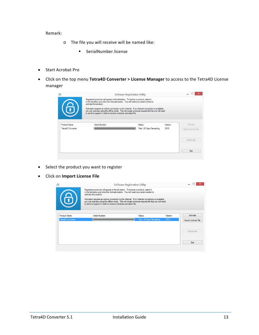#### Remark:

- o The file you will receive will be named like:
	- SerialNumber.license
- Start Acrobat Pro
- Click on the top menu **Tetra4D Converter > License Manager** to access to the Tetra4D License manager

|                     | Registered products will appear in the list below. To license a product, select it<br>in the list below and click the Activate button. You will need your serial number to<br>activate the product.<br>Activation requires an active connection to the Internet. If no Internet connection is available,<br>you can activate using the offline mode. This will create a license request file that you will need<br>to send to support in order to receive a license activation file. |                           |         |                     |
|---------------------|--------------------------------------------------------------------------------------------------------------------------------------------------------------------------------------------------------------------------------------------------------------------------------------------------------------------------------------------------------------------------------------------------------------------------------------------------------------------------------------|---------------------------|---------|---------------------|
| <b>Product Name</b> | Serial Number                                                                                                                                                                                                                                                                                                                                                                                                                                                                        | Status.                   | Version | Activate            |
| Tetra4D Converter   |                                                                                                                                                                                                                                                                                                                                                                                                                                                                                      | Trial - 28 Days Remaining | 2015    | Import License File |
|                     |                                                                                                                                                                                                                                                                                                                                                                                                                                                                                      |                           |         | <b>Deactivate</b>   |
|                     |                                                                                                                                                                                                                                                                                                                                                                                                                                                                                      |                           |         |                     |

- Select the product you want to register
- Click on **Import License File**

|                                                 | Registered products will appear in the list below. To license a product, select it<br>in the list below and click the Activate button. You will need your serial number to<br>activate the product.<br>to send to support in order to receive a license activation file. | Activation requires an active connection to the Internet. If no Internet connection is available,<br>you can activate using the offline mode. This will create a license request file that you will need |                 |                                 |
|-------------------------------------------------|--------------------------------------------------------------------------------------------------------------------------------------------------------------------------------------------------------------------------------------------------------------------------|----------------------------------------------------------------------------------------------------------------------------------------------------------------------------------------------------------|-----------------|---------------------------------|
| <b>Product Name</b><br><b>Tetra4D Converter</b> | Serial Number                                                                                                                                                                                                                                                            | Status<br>Trial - 28 Days Remaining                                                                                                                                                                      | Version<br>2015 | Activate<br>Import License File |
|                                                 |                                                                                                                                                                                                                                                                          |                                                                                                                                                                                                          |                 | Deactivate                      |
|                                                 |                                                                                                                                                                                                                                                                          |                                                                                                                                                                                                          |                 |                                 |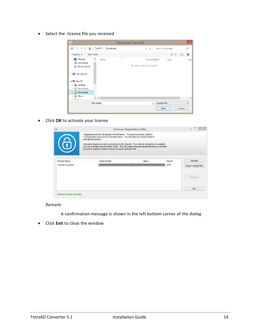• Select the .license file you received

| $\overline{\mathbf{Q}}$                                                                                           |                                 | Choose your license file                     | $\boldsymbol{\mathsf{x}}$                                                    |
|-------------------------------------------------------------------------------------------------------------------|---------------------------------|----------------------------------------------|------------------------------------------------------------------------------|
| $(\Leftarrow)$<br>$\Rightarrow$                                                                                   | This PC > Downloads<br>b.       | Ċ<br>$\checkmark$                            | Search Downloads<br>Q                                                        |
| Organize $\blacktriangledown$                                                                                     | New folder                      |                                              | <b>距</b><br>$\odot$<br>Ш                                                     |
| Desktop<br><b>Downloads</b><br><b>E</b> Recent places                                                             | ۰<br>۸<br>Name                  | Date modified<br>No items match your search. | Type<br>Size                                                                 |
| $\triangleright$ e Homegroup<br>⊿ I <sup>II</sup> III This PC                                                     |                                 |                                              |                                                                              |
| <b>Desktop</b><br>$\triangleright$<br><b>Documents</b><br>D<br><b>Downloads</b><br>$\triangleright$<br>Music<br>Ь |                                 |                                              |                                                                              |
| <b>STELLON</b>                                                                                                    | $\times$ $\times$<br>File name: | $\checkmark$                                 | $\rightarrow$<br><b>License File</b><br>$\checkmark$<br>Cancel<br>Open<br>J. |

• Click **OK** to activate your license

|                     | Registered products will appear in the list below. To license a product, select it<br>in the list below and click the Activate button. You will need your serial number to<br>activate the product.                                                                           |        |         |                     |
|---------------------|-------------------------------------------------------------------------------------------------------------------------------------------------------------------------------------------------------------------------------------------------------------------------------|--------|---------|---------------------|
|                     | Activation requires an active connection to the Internet. If no Internet connection is available,<br>you can activate using the offline mode. This will create a license request file that you will need<br>to send to support in order to receive a license activation file. |        |         |                     |
| <b>Product Name</b> | Serial Number                                                                                                                                                                                                                                                                 | Status | Version | Activate            |
| Tetra4D Converter   |                                                                                                                                                                                                                                                                               |        | 2015    | Import License File |
|                     |                                                                                                                                                                                                                                                                               |        |         |                     |
|                     |                                                                                                                                                                                                                                                                               |        |         | Deactivate          |

Remark:

A confirmation message is shown in the left bottom corner of the dialog

• Click **Exit** to close the window